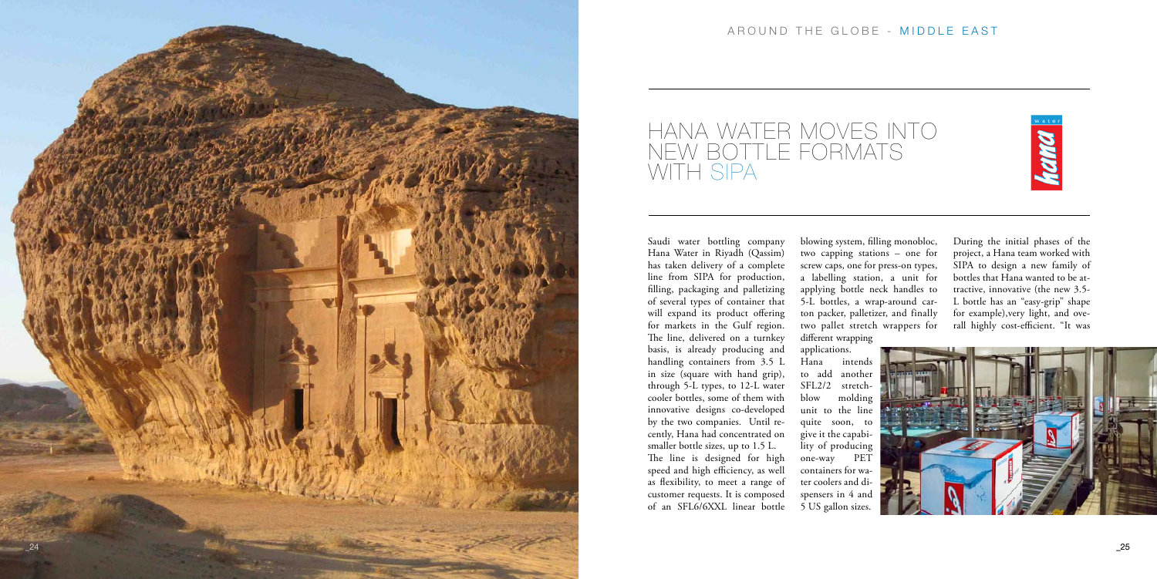

## AROUND THE GLOBE - MIDDLE EAST



Saudi water bottling company Hana Water in Riyadh (Qassim) has taken delivery of a complete line from SIPA for production, filling, packaging and palletizing of several types of container that will expand its product offering for markets in the Gulf region. The line, delivered on a turnkey basis, is already producing and handling containers from 3.5 L in size (square with hand grip), through 5-L types, to 12-L water cooler bottles, some of them with innovative designs co-developed by the two companies. Until re cently, Hana had concentrated on smaller bottle sizes, up to 1.5 L. The line is designed for high speed and high efficiency, as well as flexibility, to meet a range of customer requests. It is composed of an SFL6/6XXL linear bottle

different wrapping applications. Hana intends to add another SFL2/2 stretchblow molding unit to the line quite soon, to give it the capabi lity of producing one-way PET containers for wa ter coolers and di spensers in 4 and 5 US gallon sizes.

blowing system, filling monobloc, two capping stations – one for screw caps, one for press-on types, a labelling station, a unit for applying bottle neck handles to 5-L bottles, a wrap-around car ton packer, palletizer, and finally two pallet stretch wrappers for

During the initial phases of the project, a Hana team worked with SIPA to design a new family of bottles that Hana wanted to be at tractive, innovative (the new 3.5- L bottle has an "easy-grip" shape for example),very light, and ove rall highly cost-efficient. "It was



## HANA WATER MOVES INTO NEW BOTTLE FORMATS WITH SIPA